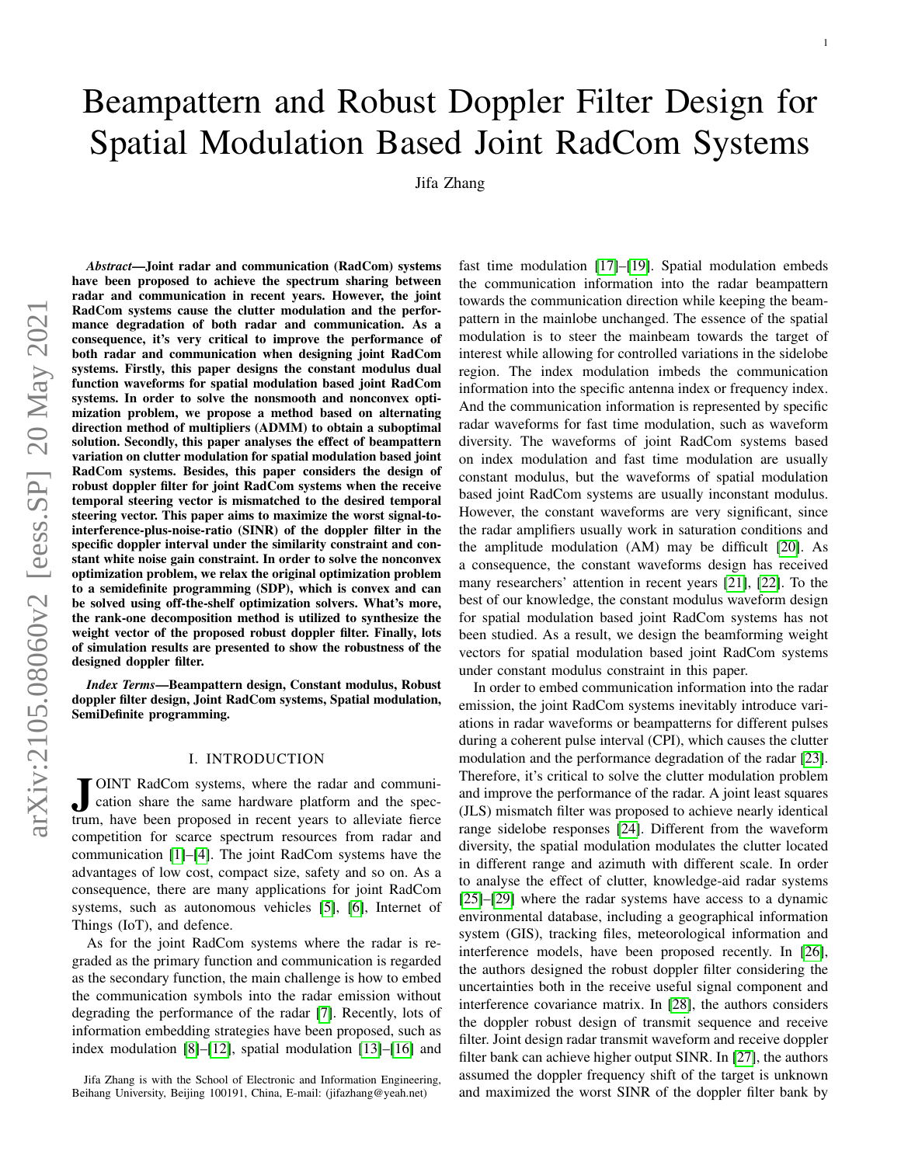# Beampattern and Robust Doppler Filter Design for Spatial Modulation Based Joint RadCom Systems

Jifa Zhang

*Abstract*—Joint radar and communication (RadCom) systems have been proposed to achieve the spectrum sharing between radar and communication in recent years. However, the joint RadCom systems cause the clutter modulation and the performance degradation of both radar and communication. As a consequence, it's very critical to improve the performance of both radar and communication when designing joint RadCom systems. Firstly, this paper designs the constant modulus dual function waveforms for spatial modulation based joint RadCom systems. In order to solve the nonsmooth and nonconvex optimization problem, we propose a method based on alternating direction method of multipliers (ADMM) to obtain a suboptimal solution. Secondly, this paper analyses the effect of beampattern variation on clutter modulation for spatial modulation based joint RadCom systems. Besides, this paper considers the design of robust doppler filter for joint RadCom systems when the receive temporal steering vector is mismatched to the desired temporal steering vector. This paper aims to maximize the worst signal-tointerference-plus-noise-ratio (SINR) of the doppler filter in the specific doppler interval under the similarity constraint and constant white noise gain constraint. In order to solve the nonconvex optimization problem, we relax the original optimization problem to a semidefinite programming (SDP), which is convex and can be solved using off-the-shelf optimization solvers. What's more, the rank-one decomposition method is utilized to synthesize the weight vector of the proposed robust doppler filter. Finally, lots of simulation results are presented to show the robustness of the designed doppler filter.

*Index Terms*—Beampattern design, Constant modulus, Robust doppler filter design, Joint RadCom systems, Spatial modulation, SemiDefinite programming.

## I. INTRODUCTION

JUNT RadCom systems, where the radar and communication share the same hardware platform and the spectrum, have been proposed in recent years to alleviate fierce OINT RadCom systems, where the radar and communication share the same hardware platform and the speccompetition for scarce spectrum resources from radar and communication [\[1\]](#page-7-0)–[\[4\]](#page-7-1). The joint RadCom systems have the advantages of low cost, compact size, safety and so on. As a consequence, there are many applications for joint RadCom systems, such as autonomous vehicles [\[5\]](#page-7-2), [\[6\]](#page-7-3), Internet of Things (IoT), and defence.

As for the joint RadCom systems where the radar is regraded as the primary function and communication is regarded as the secondary function, the main challenge is how to embed the communication symbols into the radar emission without degrading the performance of the radar [\[7\]](#page-7-4). Recently, lots of information embedding strategies have been proposed, such as index modulation [\[8\]](#page-7-5)–[\[12\]](#page-7-6), spatial modulation [\[13\]](#page-7-7)–[\[16\]](#page-7-8) and fast time modulation [\[17\]](#page-7-9)–[\[19\]](#page-7-10). Spatial modulation embeds the communication information into the radar beampattern towards the communication direction while keeping the beampattern in the mainlobe unchanged. The essence of the spatial modulation is to steer the mainbeam towards the target of interest while allowing for controlled variations in the sidelobe region. The index modulation imbeds the communication information into the specific antenna index or frequency index. And the communication information is represented by specific radar waveforms for fast time modulation, such as waveform diversity. The waveforms of joint RadCom systems based on index modulation and fast time modulation are usually constant modulus, but the waveforms of spatial modulation based joint RadCom systems are usually inconstant modulus. However, the constant waveforms are very significant, since the radar amplifiers usually work in saturation conditions and the amplitude modulation (AM) may be difficult [\[20\]](#page-7-11). As a consequence, the constant waveforms design has received many researchers' attention in recent years [\[21\]](#page-8-0), [\[22\]](#page-8-1). To the best of our knowledge, the constant modulus waveform design for spatial modulation based joint RadCom systems has not been studied. As a result, we design the beamforming weight vectors for spatial modulation based joint RadCom systems under constant modulus constraint in this paper.

1

In order to embed communication information into the radar emission, the joint RadCom systems inevitably introduce variations in radar waveforms or beampatterns for different pulses during a coherent pulse interval (CPI), which causes the clutter modulation and the performance degradation of the radar [\[23\]](#page-8-2). Therefore, it's critical to solve the clutter modulation problem and improve the performance of the radar. A joint least squares (JLS) mismatch filter was proposed to achieve nearly identical range sidelobe responses [\[24\]](#page-8-3). Different from the waveform diversity, the spatial modulation modulates the clutter located in different range and azimuth with different scale. In order to analyse the effect of clutter, knowledge-aid radar systems [\[25\]](#page-8-4)–[\[29\]](#page-8-5) where the radar systems have access to a dynamic environmental database, including a geographical information system (GIS), tracking files, meteorological information and interference models, have been proposed recently. In [\[26\]](#page-8-6), the authors designed the robust doppler filter considering the uncertainties both in the receive useful signal component and interference covariance matrix. In [\[28\]](#page-8-7), the authors considers the doppler robust design of transmit sequence and receive filter. Joint design radar transmit waveform and receive doppler filter bank can achieve higher output SINR. In [\[27\]](#page-8-8), the authors assumed the doppler frequency shift of the target is unknown and maximized the worst SINR of the doppler filter bank by

Jifa Zhang is with the School of Electronic and Information Engineering, Beihang University, Beijing 100191, China, E-mail: (jifazhang@yeah.net)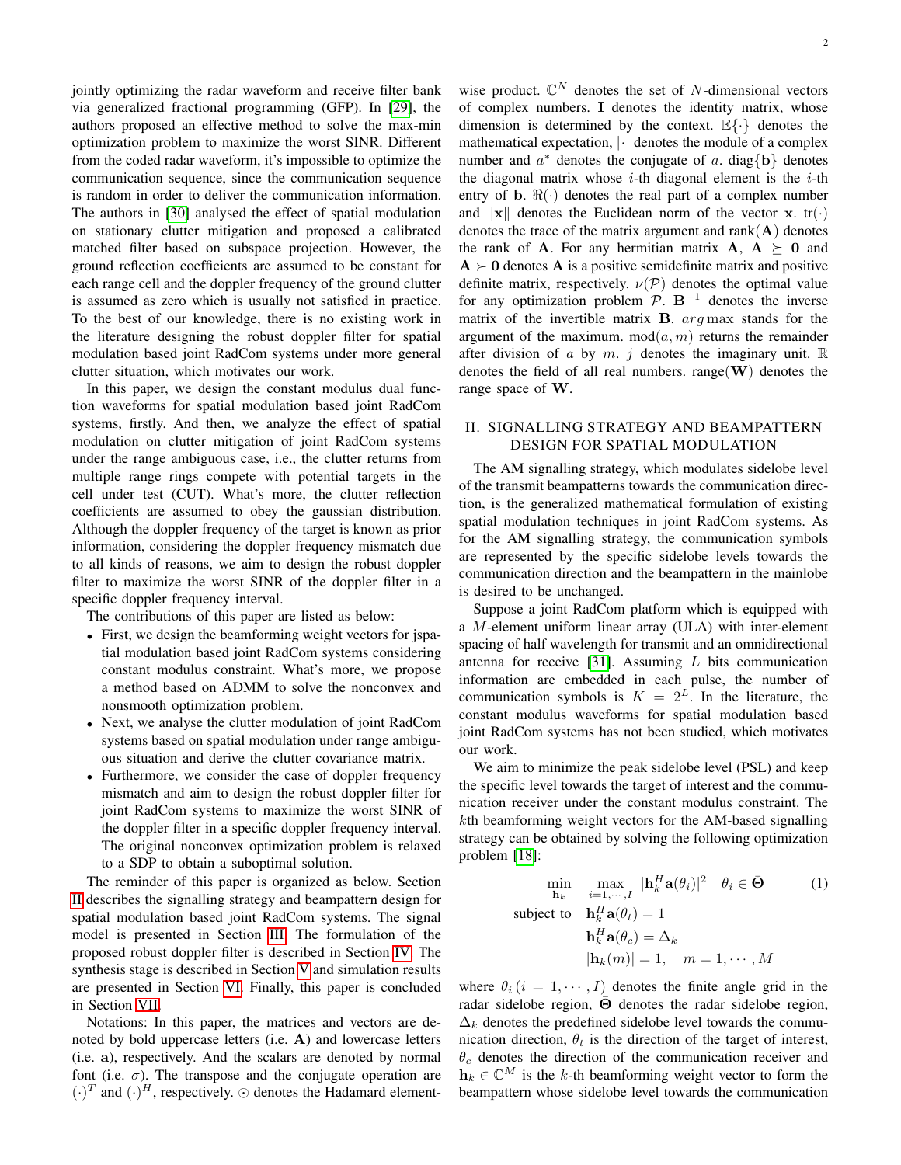jointly optimizing the radar waveform and receive filter bank via generalized fractional programming (GFP). In [\[29\]](#page-8-5), the authors proposed an effective method to solve the max-min optimization problem to maximize the worst SINR. Different from the coded radar waveform, it's impossible to optimize the communication sequence, since the communication sequence is random in order to deliver the communication information. The authors in [\[30\]](#page-8-9) analysed the effect of spatial modulation on stationary clutter mitigation and proposed a calibrated matched filter based on subspace projection. However, the ground reflection coefficients are assumed to be constant for each range cell and the doppler frequency of the ground clutter is assumed as zero which is usually not satisfied in practice. To the best of our knowledge, there is no existing work in the literature designing the robust doppler filter for spatial modulation based joint RadCom systems under more general clutter situation, which motivates our work.

In this paper, we design the constant modulus dual function waveforms for spatial modulation based joint RadCom systems, firstly. And then, we analyze the effect of spatial modulation on clutter mitigation of joint RadCom systems under the range ambiguous case, i.e., the clutter returns from multiple range rings compete with potential targets in the cell under test (CUT). What's more, the clutter reflection coefficients are assumed to obey the gaussian distribution. Although the doppler frequency of the target is known as prior information, considering the doppler frequency mismatch due to all kinds of reasons, we aim to design the robust doppler filter to maximize the worst SINR of the doppler filter in a specific doppler frequency interval.

The contributions of this paper are listed as below:

- First, we design the beamforming weight vectors for jspatial modulation based joint RadCom systems considering constant modulus constraint. What's more, we propose a method based on ADMM to solve the nonconvex and nonsmooth optimization problem.
- Next, we analyse the clutter modulation of joint RadCom systems based on spatial modulation under range ambiguous situation and derive the clutter covariance matrix.
- Furthermore, we consider the case of doppler frequency mismatch and aim to design the robust doppler filter for joint RadCom systems to maximize the worst SINR of the doppler filter in a specific doppler frequency interval. The original nonconvex optimization problem is relaxed to a SDP to obtain a suboptimal solution.

The reminder of this paper is organized as below. Section [II](#page-1-0) describes the signalling strategy and beampattern design for spatial modulation based joint RadCom systems. The signal model is presented in Section [III.](#page-3-0) The formulation of the proposed robust doppler filter is described in Section [IV.](#page-4-0) The synthesis stage is described in Section [V](#page-6-0) and simulation results are presented in Section [VI.](#page-6-1) Finally, this paper is concluded in Section [VII.](#page-7-12)

Notations: In this paper, the matrices and vectors are denoted by bold uppercase letters (i.e. A) and lowercase letters (i.e. a), respectively. And the scalars are denoted by normal font (i.e.  $\sigma$ ). The transpose and the conjugate operation are  $(\cdot)^T$  and  $(\cdot)^H$ , respectively.  $\odot$  denotes the Hadamard element-

wise product.  $\mathbb{C}^N$  denotes the set of N-dimensional vectors of complex numbers. I denotes the identity matrix, whose dimension is determined by the context.  $\mathbb{E}\{\cdot\}$  denotes the mathematical expectation,  $|\cdot|$  denotes the module of a complex number and  $a^*$  denotes the conjugate of a. diag $\{b\}$  denotes the diagonal matrix whose  $i$ -th diagonal element is the  $i$ -th entry of b.  $\Re(\cdot)$  denotes the real part of a complex number and  $\|\mathbf{x}\|$  denotes the Euclidean norm of the vector x. tr(·) denotes the trace of the matrix argument and  $rank(A)$  denotes the rank of **A**. For any hermitian matrix **A**,  $A \succeq 0$  and  $A \succ 0$  denotes A is a positive semidefinite matrix and positive definite matrix, respectively.  $\nu(\mathcal{P})$  denotes the optimal value for any optimization problem  $\mathcal{P}$ . B<sup>-1</sup> denotes the inverse matrix of the invertible matrix  $B$ .  $arg \max$  stands for the argument of the maximum. mod $(a, m)$  returns the remainder after division of a by m. j denotes the imaginary unit.  $\mathbb R$ denotes the field of all real numbers. range $(W)$  denotes the range space of W.

# <span id="page-1-0"></span>II. SIGNALLING STRATEGY AND BEAMPATTERN DESIGN FOR SPATIAL MODULATION

The AM signalling strategy, which modulates sidelobe level of the transmit beampatterns towards the communication direction, is the generalized mathematical formulation of existing spatial modulation techniques in joint RadCom systems. As for the AM signalling strategy, the communication symbols are represented by the specific sidelobe levels towards the communication direction and the beampattern in the mainlobe is desired to be unchanged.

Suppose a joint RadCom platform which is equipped with a M-element uniform linear array (ULA) with inter-element spacing of half wavelength for transmit and an omnidirectional antenna for receive [\[31\]](#page-8-10). Assuming  $L$  bits communication information are embedded in each pulse, the number of communication symbols is  $K = 2^L$ . In the literature, the constant modulus waveforms for spatial modulation based joint RadCom systems has not been studied, which motivates our work.

We aim to minimize the peak sidelobe level (PSL) and keep the specific level towards the target of interest and the communication receiver under the constant modulus constraint. The kth beamforming weight vectors for the AM-based signalling strategy can be obtained by solving the following optimization problem [\[18\]](#page-7-13):

<span id="page-1-1"></span>
$$
\min_{\mathbf{h}_k} \max_{i=1,\dots,I} |\mathbf{h}_k^H \mathbf{a}(\theta_i)|^2 \quad \theta_i \in \bar{\Theta} \tag{1}
$$
\n
$$
\text{subject to} \quad \mathbf{h}_k^H \mathbf{a}(\theta_t) = 1
$$
\n
$$
\mathbf{h}_k^H \mathbf{a}(\theta_c) = \Delta_k
$$
\n
$$
|\mathbf{h}_k(m)| = 1, \quad m = 1, \dots, M
$$

where  $\theta_i$  ( $i = 1, \dots, I$ ) denotes the finite angle grid in the radar sidelobe region,  $\Theta$  denotes the radar sidelobe region,  $\Delta_k$  denotes the predefined sidelobe level towards the communication direction,  $\theta_t$  is the direction of the target of interest,  $\theta_c$  denotes the direction of the communication receiver and  $h_k \in \mathbb{C}^M$  is the k-th beamforming weight vector to form the beampattern whose sidelobe level towards the communication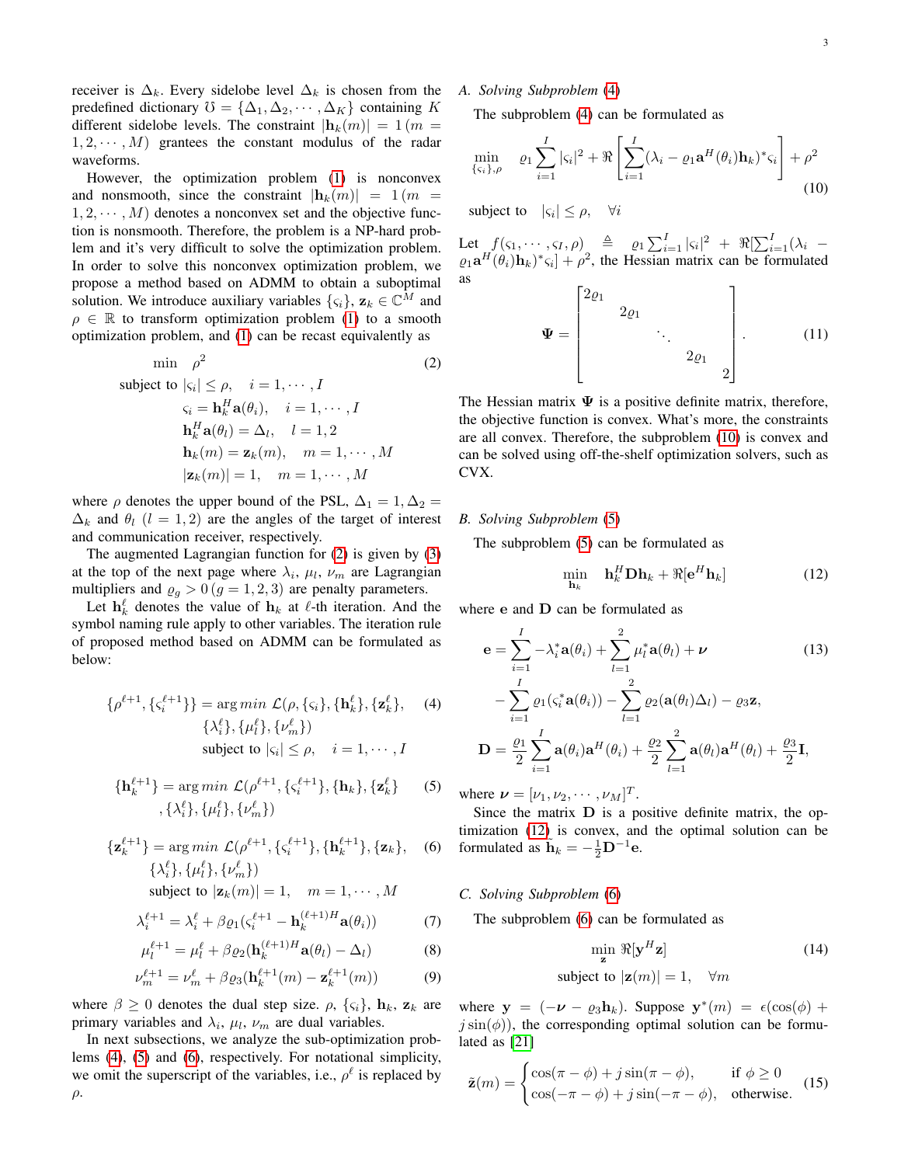receiver is  $\Delta_k$ . Every sidelobe level  $\Delta_k$  is chosen from the predefined dictionary  $\mathcal{O} = {\Delta_1, \Delta_2, \cdots, \Delta_K}$  containing K different sidelobe levels. The constraint  $|\mathbf{h}_k(m)| = 1$  (m =  $1, 2, \dots, M$  grantees the constant modulus of the radar waveforms.

However, the optimization problem [\(1\)](#page-1-1) is nonconvex and nonsmooth, since the constraint  $|\mathbf{h}_k(m)| = 1$  (m =  $1, 2, \cdots, M$  denotes a nonconvex set and the objective function is nonsmooth. Therefore, the problem is a NP-hard problem and it's very difficult to solve the optimization problem. In order to solve this nonconvex optimization problem, we propose a method based on ADMM to obtain a suboptimal solution. We introduce auxiliary variables  $\{\varsigma_i\}$ ,  $\mathbf{z}_k \in \mathbb{C}^M$  and  $\rho \in \mathbb{R}$  to transform optimization problem [\(1\)](#page-1-1) to a smooth optimization problem, and [\(1\)](#page-1-1) can be recast equivalently as

$$
\min \rho^2
$$
\nsubject to 
$$
|\varsigma_i| \leq \rho, \quad i = 1, \cdots, I
$$

\n
$$
\varsigma_i = \mathbf{h}_k^H \mathbf{a}(\theta_i), \quad i = 1, \cdots, I
$$
\n
$$
\mathbf{h}_k^H \mathbf{a}(\theta_l) = \Delta_l, \quad l = 1, 2
$$
\n
$$
\mathbf{h}_k(m) = \mathbf{z}_k(m), \quad m = 1, \cdots, M
$$
\n
$$
|\mathbf{z}_k(m)| = 1, \quad m = 1, \cdots, M
$$
\n(6.12)

where  $\rho$  denotes the upper bound of the PSL,  $\Delta_1 = 1, \Delta_2 =$  $\Delta_k$  and  $\theta_l$  (l = 1, 2) are the angles of the target of interest and communication receiver, respectively.

The augmented Lagrangian function for [\(2\)](#page-2-0) is given by [\(3\)](#page-3-1) at the top of the next page where  $\lambda_i$ ,  $\mu_l$ ,  $\nu_m$  are Lagrangian multipliers and  $\varrho_g > 0$  ( $g = 1, 2, 3$ ) are penalty parameters.

Let  $\mathbf{h}_k^{\ell}$  denotes the value of  $\mathbf{h}_k$  at  $\ell$ -th iteration. And the symbol naming rule apply to other variables. The iteration rule of proposed method based on ADMM can be formulated as below:

$$
\{\rho^{\ell+1}, \{ \varsigma_i^{\ell+1} \} \} = \underset{\{\lambda_i^{\ell}\}, \{\mu_i^{\ell}\}, \{\nu_m^{\ell}\}}{\arg \min} \mathcal{L}(\rho, \{\varsigma_i\}, \{\mathbf{h}_k^{\ell}\}, \{\mathbf{z}_k^{\ell}\}, \text{ (4)}
$$
\n
$$
\{\lambda_i^{\ell}\}, \{\mu_i^{\ell}\}, \{\nu_m^{\ell}\}\}
$$
\nsubject to  $|\varsigma_i| \leq \rho, \quad i = 1, \cdots, I$ 

$$
\{\mathbf{h}_{k}^{\ell+1}\} = \arg\min \mathcal{L}(\rho^{\ell+1}, \{\varsigma_{i}^{\ell+1}\}, \{\mathbf{h}_{k}\}, \{\mathbf{z}_{k}^{\ell}\}\
$$
 (5)  
 
$$
,\{\lambda_{i}^{\ell}\}, \{\mu_{l}^{\ell}\}, \{\nu_{m}^{\ell}\}\
$$

$$
\{\mathbf z_k^{\ell+1}\} = \arg\min \mathcal{L}(\rho^{\ell+1}, \{\varsigma_i^{\ell+1}\}, \{\mathbf h_k^{\ell+1}\}, \{\mathbf z_k\}, \quad (6) \{\lambda_i^{\ell}\}, \{\mu_l^{\ell}\}, \{\nu_m^{\ell}\}\}\
$$

subject to 
$$
|\mathbf{z}_k(m)| = 1, \quad m = 1, \cdots, M
$$

<span id="page-2-6"></span>
$$
\lambda_i^{\ell+1} = \lambda_i^{\ell} + \beta \varrho_1 (\varsigma_i^{\ell+1} - \mathbf{h}_k^{(\ell+1)H} \mathbf{a}(\theta_i)) \tag{7}
$$

<span id="page-2-7"></span>
$$
\mu_l^{\ell+1} = \mu_l^{\ell} + \beta \varrho_2 (\mathbf{h}_k^{(\ell+1)H} \mathbf{a}(\theta_l) - \Delta_l)
$$
(8)

<span id="page-2-8"></span>
$$
\nu_m^{\ell+1} = \nu_m^{\ell} + \beta \varrho_3(\mathbf{h}_k^{\ell+1}(m) - \mathbf{z}_k^{\ell+1}(m))
$$
(9)

where  $\beta \geq 0$  denotes the dual step size.  $\rho$ ,  $\{\varsigma_i\}$ ,  $\mathbf{h}_k$ ,  $\mathbf{z}_k$  are primary variables and  $\lambda_i$ ,  $\mu_l$ ,  $\nu_m$  are dual variables.

In next subsections, we analyze the sub-optimization problems [\(4\)](#page-2-1), [\(5\)](#page-2-2) and [\(6\)](#page-2-3), respectively. For notational simplicity, we omit the superscript of the variables, i.e.,  $\rho^{\ell}$  is replaced by  $\rho$ .

# *A. Solving Subproblem* [\(4\)](#page-2-1)

The subproblem [\(4\)](#page-2-1) can be formulated as

$$
\min_{\{\varsigma_i\},\rho} \quad \varrho_1 \sum_{i=1}^I |\varsigma_i|^2 + \Re \left[ \sum_{i=1}^I (\lambda_i - \varrho_1 \mathbf{a}^H(\theta_i) \mathbf{h}_k)^* \varsigma_i \right] + \rho^2
$$
\n(10)

subject to  $|\varsigma_i| \leq \rho$ ,  $\forall i$ 

Let  $f(\varsigma_1, \dots, \varsigma_I, \rho)$   $\triangleq$   $\varrho_1 \sum_{i=1}^I |\varsigma_i|^2 + \Re[\sum_{i=1}^I (\lambda_i \varrho_1 \mathbf{a}^H(\theta_i) \mathbf{h}_k^{\dagger}$ ,  $\varphi^2$ , the Hessian matrix can be formulated as

<span id="page-2-4"></span>
$$
\mathbf{\Psi} = \begin{bmatrix} 2\varrho_1 & & & \\ & 2\varrho_1 & & \\ & & \ddots & \\ & & & 2\varrho_1 & \\ & & & & 2 \end{bmatrix} . \tag{11}
$$

<span id="page-2-0"></span>The Hessian matrix  $\Psi$  is a positive definite matrix, therefore, the objective function is convex. What's more, the constraints are all convex. Therefore, the subproblem [\(10\)](#page-2-4) is convex and can be solved using off-the-shelf optimization solvers, such as CVX.

#### *B. Solving Subproblem* [\(5\)](#page-2-2)

The subproblem [\(5\)](#page-2-2) can be formulated as

<span id="page-2-5"></span>
$$
\min_{\mathbf{h}_k} \quad \mathbf{h}_k^H \mathbf{D} \mathbf{h}_k + \Re[\mathbf{e}^H \mathbf{h}_k] \tag{12}
$$

where e and **D** can be formulated as

<span id="page-2-1"></span>
$$
\mathbf{e} = \sum_{i=1}^{I} -\lambda_i^* \mathbf{a}(\theta_i) + \sum_{l=1}^{2} \mu_l^* \mathbf{a}(\theta_l) + \nu
$$
(13)  

$$
-\sum_{i=1}^{I} \varrho_1(\varsigma_i^* \mathbf{a}(\theta_i)) - \sum_{l=1}^{2} \varrho_2(\mathbf{a}(\theta_l) \Delta_l) - \varrho_3 \mathbf{z},
$$
  

$$
\mathbf{D} = \frac{\varrho_1}{2} \sum_{i=1}^{I} \mathbf{a}(\theta_i) \mathbf{a}^H(\theta_i) + \frac{\varrho_2}{2} \sum_{l=1}^{2} \mathbf{a}(\theta_l) \mathbf{a}^H(\theta_l) + \frac{\varrho_3}{2} \mathbf{I},
$$

<span id="page-2-2"></span>where  $\nu = [\nu_1, \nu_2, \cdots, \nu_M]^T$ .

<span id="page-2-3"></span>Since the matrix D is a positive definite matrix, the optimization [\(12\)](#page-2-5) is convex, and the optimal solution can be formulated as  $\tilde{\mathbf{h}}_k = -\frac{1}{2}\mathbf{D}^{-1}\mathbf{e}$ .

# *C. Solving Subproblem* [\(6\)](#page-2-3)

The subproblem [\(6\)](#page-2-3) can be formulated as

$$
\min_{\mathbf{z}} \Re[\mathbf{y}^{H} \mathbf{z}]
$$
subject to  $|\mathbf{z}(m)| = 1$ ,  $\forall m$  (14)

where  $y = (-\nu - \varrho_3 h_k)$ . Suppose  $y^*(m) = \epsilon(\cos(\phi) +$  $j \sin(\phi)$ , the corresponding optimal solution can be formulated as [\[21\]](#page-8-0)

$$
\tilde{\mathbf{z}}(m) = \begin{cases}\n\cos(\pi - \phi) + j\sin(\pi - \phi), & \text{if } \phi \ge 0 \\
\cos(-\pi - \phi) + j\sin(-\pi - \phi), & \text{otherwise.} \n\end{cases}
$$
(15)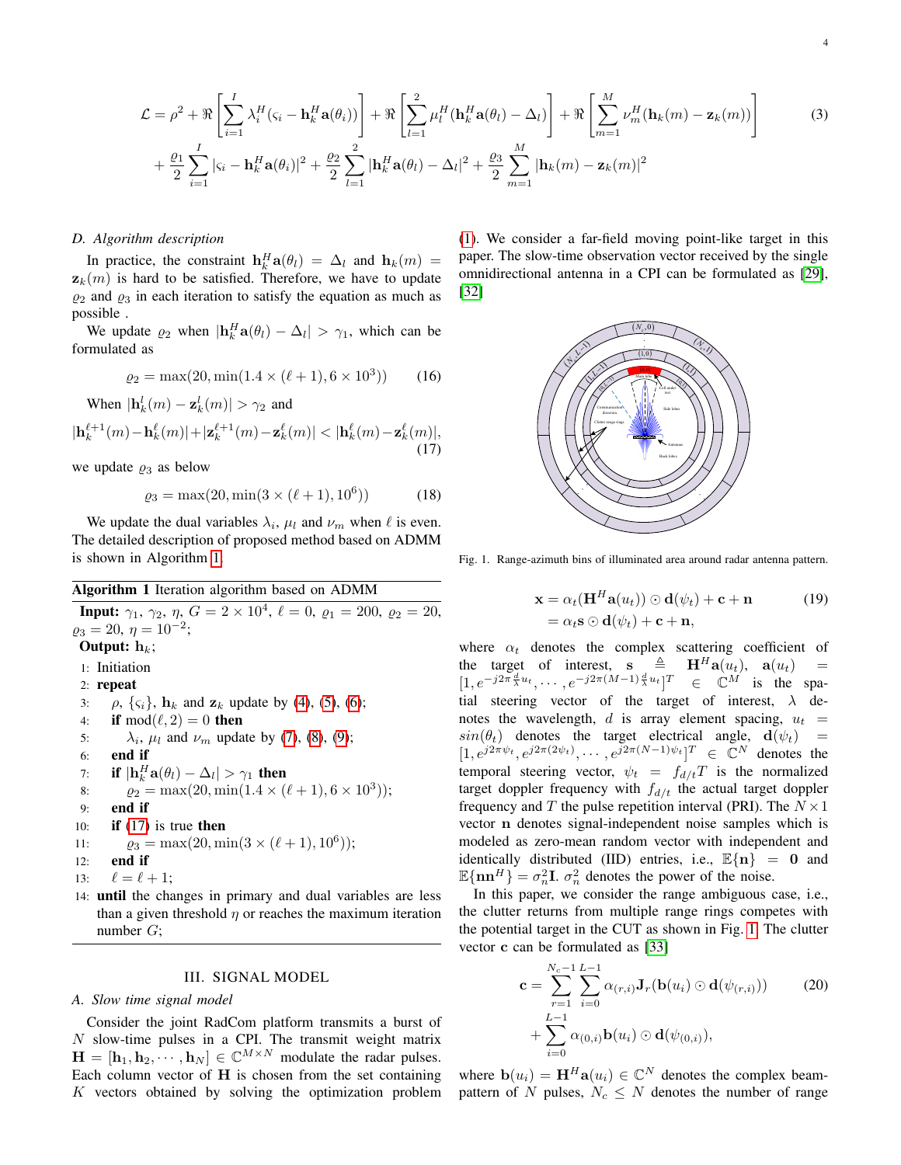$$
\mathcal{L} = \rho^2 + \Re \left[ \sum_{i=1}^I \lambda_i^H (\varsigma_i - \mathbf{h}_k^H \mathbf{a}(\theta_i)) \right] + \Re \left[ \sum_{l=1}^2 \mu_l^H (\mathbf{h}_k^H \mathbf{a}(\theta_l) - \Delta_l) \right] + \Re \left[ \sum_{m=1}^M \nu_m^H (\mathbf{h}_k(m) - \mathbf{z}_k(m)) \right]
$$
(3)  
+  $\frac{\rho_1}{2} \sum_{i=1}^I |\varsigma_i - \mathbf{h}_k^H \mathbf{a}(\theta_i)|^2 + \frac{\rho_2}{2} \sum_{l=1}^2 |\mathbf{h}_k^H \mathbf{a}(\theta_l) - \Delta_l|^2 + \frac{\rho_3}{2} \sum_{m=1}^M |\mathbf{h}_k(m) - \mathbf{z}_k(m)|^2$ 

#### *D. Algorithm description*

In practice, the constraint  $\mathbf{h}_k^H \mathbf{a}(\theta_l) = \Delta_l$  and  $\mathbf{h}_k(m) =$  $z_k(m)$  is hard to be satisfied. Therefore, we have to update  $\varrho_2$  and  $\varrho_3$  in each iteration to satisfy the equation as much as possible .

We update  $\varrho_2$  when  $|\mathbf{h}_k^H \mathbf{a}(\theta_i) - \Delta_k| > \gamma_1$ , which can be formulated as

$$
\varrho_2 = \max(20, \min(1.4 \times (\ell + 1), 6 \times 10^3))
$$
 (16)

<span id="page-3-3"></span>When 
$$
|\mathbf{h}_k^l(m) - \mathbf{z}_k^l(m)| > \gamma_2
$$
 and  $|\mathbf{h}_k^{\ell+1}(m) - \mathbf{h}_k^{\ell}(m)| + |\mathbf{z}_k^{\ell+1}(m) - \mathbf{z}_k^{\ell}(m)| < |\mathbf{h}_k^{\ell}(m) - \mathbf{z}_k^{\ell}(m)|, \tag{17}$ 

we update  $\varrho_3$  as below

$$
\varrho_3 = \max(20, \min(3 \times (\ell + 1), 10^6))
$$
 (18)

We update the dual variables  $\lambda_i$ ,  $\mu_l$  and  $\nu_m$  when  $\ell$  is even. The detailed description of proposed method based on ADMM is shown in Algorithm [1.](#page-3-2)

# <span id="page-3-2"></span>Algorithm 1 Iteration algorithm based on ADMM

**Input:**  $\gamma_1, \gamma_2, \eta, G = 2 \times 10^4, \ell = 0, \varrho_1 = 200, \varrho_2 = 20,$  $\varrho_3 = 20, \eta = 10^{-2};$ Output:  $h_k$ ; 1: Initiation 2: repeat 3:  $\rho$ ,  $\{ \varsigma_i \}$ ,  $\mathbf{h}_k$  and  $\mathbf{z}_k$  update by [\(4\)](#page-2-1), [\(5\)](#page-2-2), [\(6\)](#page-2-3); 4: if  $mod(\ell, 2) = 0$  then 5:  $\lambda_i$ ,  $\mu_l$  and  $\nu_m$  update by [\(7\)](#page-2-6), [\(8\)](#page-2-7), [\(9\)](#page-2-8); 6: end if 7: if  $|\mathbf{h}_k^H \mathbf{a}(\theta_l) - \Delta_l| > \gamma_1$  then 8:  $\rho_2 = \max(20, \min(1.4 \times (\ell + 1), 6 \times 10^3));$ 9: end if 10: **if**  $(17)$  is true then 11:  $\varrho_3 = \max(20, \min(3 \times (\ell + 1), 10^6));$  $12:$  end if 13:  $\ell = \ell + 1$ : 14: until the changes in primary and dual variables are less

than a given threshold  $\eta$  or reaches the maximum iteration number G;

## III. SIGNAL MODEL

# <span id="page-3-0"></span>*A. Slow time signal model*

Consider the joint RadCom platform transmits a burst of N slow-time pulses in a CPI. The transmit weight matrix  $\mathbf{H} = [\mathbf{h}_1, \mathbf{h}_2, \cdots, \mathbf{h}_N] \in \mathbb{C}^{M \times N}$  modulate the radar pulses. Each column vector of  $H$  is chosen from the set containing  $K$  vectors obtained by solving the optimization problem [\(1\)](#page-1-1). We consider a far-field moving point-like target in this paper. The slow-time observation vector received by the single omnidirectional antenna in a CPI can be formulated as [\[29\]](#page-8-5), [\[32\]](#page-9-0)

<span id="page-3-1"></span>

<span id="page-3-4"></span>Fig. 1. Range-azimuth bins of illuminated area around radar antenna pattern.

$$
\mathbf{x} = \alpha_t (\mathbf{H}^H \mathbf{a}(u_t)) \odot \mathbf{d}(\psi_t) + \mathbf{c} + \mathbf{n}
$$
 (19)  
=  $\alpha_t \mathbf{s} \odot \mathbf{d}(\psi_t) + \mathbf{c} + \mathbf{n}$ ,

where  $\alpha_t$  denotes the complex scattering coefficient of the target of interest,  $\mathbf{s} \triangleq \mathbf{H}^H \mathbf{a}(u_t)$ ,  $\mathbf{a}(u_t) =$  $[1, e^{-j2\pi \frac{d}{\lambda} u_t}, \cdots, e^{-j2\pi (M-1)\frac{d}{\lambda} u_t}]^T \in \mathbb{C}^M$  is the spatial steering vector of the target of interest,  $\lambda$  denotes the wavelength, d is array element spacing,  $u_t =$  $sin(\theta_t)$  denotes the target electrical angle,  $d(\psi_t)$  =  $[1, e^{j2\pi\psi_t}, e^{j2\pi(2\psi_t)}, \cdots, e^{j2\pi(N-1)\psi_t}]^T \in \mathbb{C}^N$  denotes the temporal steering vector,  $\psi_t = f_{d/t}T$  is the normalized target doppler frequency with  $f_{d/t}$  the actual target doppler frequency and T the pulse repetition interval (PRI). The  $N \times 1$ vector n denotes signal-independent noise samples which is modeled as zero-mean random vector with independent and identically distributed (IID) entries, i.e.,  $\mathbb{E}{n} = 0$  and  $\mathbb{E}\{\mathbf{n}\mathbf{n}^H\} = \sigma_n^2 \mathbf{I}$ .  $\sigma_n^2$  denotes the power of the noise.

In this paper, we consider the range ambiguous case, i.e., the clutter returns from multiple range rings competes with the potential target in the CUT as shown in Fig. [1.](#page-3-4) The clutter vector c can be formulated as [\[33\]](#page-9-1)

$$
\mathbf{c} = \sum_{r=1}^{N_c - 1} \sum_{i=0}^{L-1} \alpha_{(r,i)} \mathbf{J}_r(\mathbf{b}(u_i) \odot \mathbf{d}(\psi_{(r,i)}))
$$
(20)  
+ 
$$
\sum_{i=0}^{L-1} \alpha_{(0,i)} \mathbf{b}(u_i) \odot \mathbf{d}(\psi_{(0,i)}),
$$

where  $\mathbf{b}(u_i) = \mathbf{H}^H \mathbf{a}(u_i) \in \mathbb{C}^N$  denotes the complex beampattern of N pulses,  $N_c \leq N$  denotes the number of range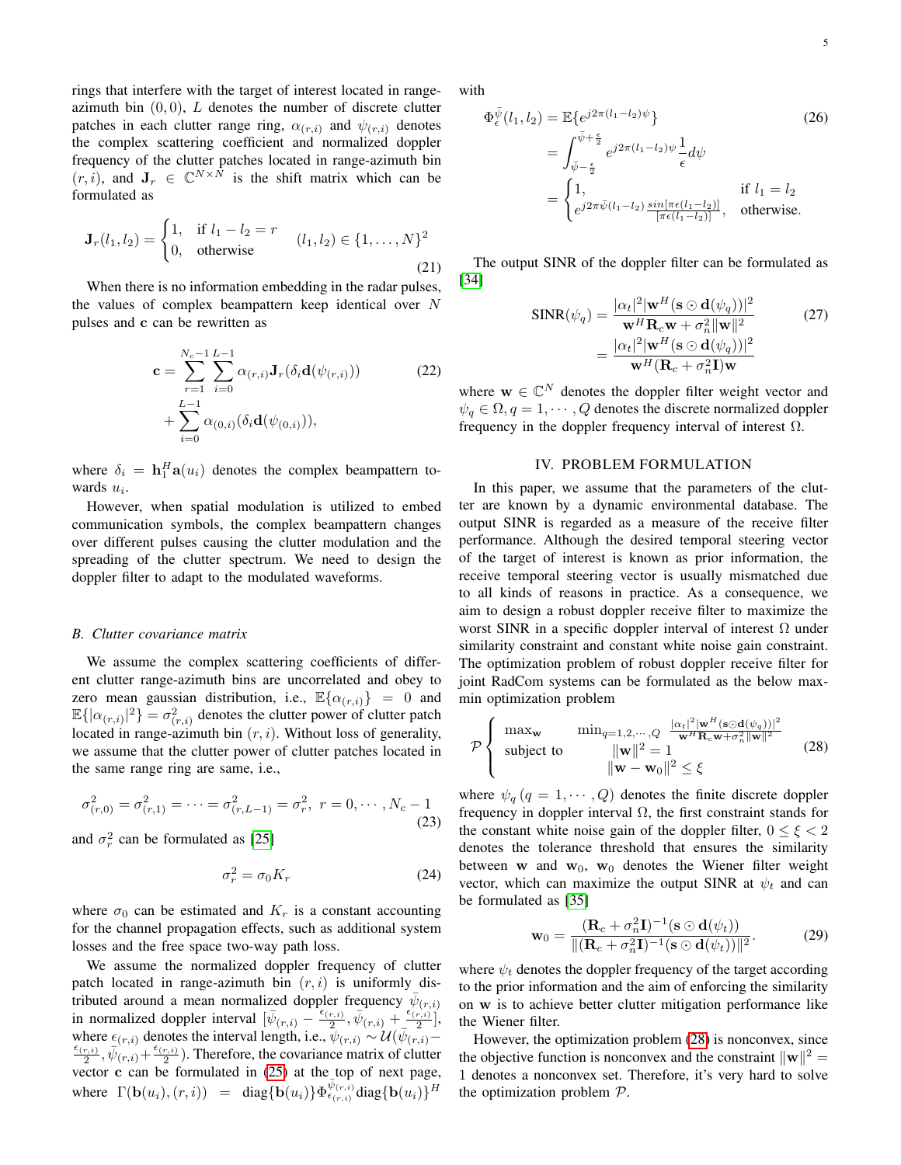rings that interfere with the target of interest located in rangeazimuth bin  $(0, 0)$ , L denotes the number of discrete clutter patches in each clutter range ring,  $\alpha_{(r,i)}$  and  $\psi_{(r,i)}$  denotes the complex scattering coefficient and normalized doppler frequency of the clutter patches located in range-azimuth bin  $(r, i)$ , and  $\mathbf{J}_r \in \mathbb{C}^{N \times \bar{N}}$  is the shift matrix which can be formulated as

$$
\mathbf{J}_r(l_1, l_2) = \begin{cases} 1, & \text{if } l_1 - l_2 = r \\ 0, & \text{otherwise} \end{cases} \quad (l_1, l_2) \in \{1, \dots, N\}^2
$$
 (21)

When there is no information embedding in the radar pulses, the values of complex beampattern keep identical over  $N$ pulses and c can be rewritten as

$$
\mathbf{c} = \sum_{r=1}^{N_c - 1} \sum_{i=0}^{L-1} \alpha_{(r,i)} \mathbf{J}_r(\delta_i \mathbf{d}(\psi_{(r,i)}))
$$
(22)  
+ 
$$
\sum_{i=0}^{L-1} \alpha_{(0,i)}(\delta_i \mathbf{d}(\psi_{(0,i)})),
$$

where  $\delta_i = \mathbf{h}_1^H \mathbf{a}(u_i)$  denotes the complex beampattern towards  $u_i$ .

However, when spatial modulation is utilized to embed communication symbols, the complex beampattern changes over different pulses causing the clutter modulation and the spreading of the clutter spectrum. We need to design the doppler filter to adapt to the modulated waveforms.

#### *B. Clutter covariance matrix*

We assume the complex scattering coefficients of different clutter range-azimuth bins are uncorrelated and obey to zero mean gaussian distribution, i.e.,  $\mathbb{E}\{\alpha_{(r,i)}\} = 0$  and  $\mathbb{E}\{|{\alpha}_{(r,i)}|^2\} = \sigma_{(r,i)}^2$  denotes the clutter power of clutter patch located in range-azimuth bin  $(r, i)$ . Without loss of generality, we assume that the clutter power of clutter patches located in the same range ring are same, i.e.,

$$
\sigma_{(r,0)}^2 = \sigma_{(r,1)}^2 = \dots = \sigma_{(r,L-1)}^2 = \sigma_r^2, \ r = 0, \dots, N_c - 1
$$
\n(23)

and  $\sigma_r^2$  can be formulated as [\[25\]](#page-8-4)

$$
\sigma_r^2 = \sigma_0 K_r \tag{24}
$$

where  $\sigma_0$  can be estimated and  $K_r$  is a constant accounting for the channel propagation effects, such as additional system losses and the free space two-way path loss.

We assume the normalized doppler frequency of clutter patch located in range-azimuth bin  $(r, i)$  is uniformly distributed around a mean normalized doppler frequency  $\bar{\psi}_{(r,i)}$ in normalized doppler interval  $[\bar{\psi}_{(r,i)} - \frac{\epsilon_{(r,i)}}{2}]$  $\bar{\psi}_{(r,i)}$  ,  $\bar{\psi}_{(r,i)}$  +  $\frac{\epsilon_{(r,i)}^{(r,i)}}{2}$  $\frac{r(i)}{2}$ , where  $\epsilon_{(r,i)}$  denotes the interval length, i.e.,  $\psi_{(r,i)} \sim \mathcal{U}(\bar{\psi}_{(r,i)} \epsilon_{(r,i)}$  $\frac{r(i)}{2}, \bar{\psi}(r,i)+\frac{\epsilon(r,i)}{2}$  $\frac{(r,i)}{2}$ ). Therefore, the covariance matrix of clutter vector  $c$  can be formulated in  $(25)$  at the top of next page, where  $\Gamma(\mathbf{b}(u_i), (r, i)) = \text{diag}\{\mathbf{b}(u_i)\}\Phi_{\epsilon_{(r, i)}}^{\bar{\psi}_{(r, i)}} \text{diag}\{\mathbf{b}(u_i)\}^H$ 

with

$$
\Phi_{\epsilon}^{\bar{\psi}}(l_1, l_2) = \mathbb{E}\{e^{j2\pi(l_1 - l_2)\psi}\}\
$$
\n
$$
= \int_{\bar{\psi} - \frac{\epsilon}{2}}^{\bar{\psi} + \frac{\epsilon}{2}} e^{j2\pi(l_1 - l_2)\psi} \frac{1}{\epsilon} d\psi
$$
\n
$$
= \begin{cases}\n1, & \text{if } l_1 = l_2 \\
e^{j2\pi\bar{\psi}(l_1 - l_2)} \frac{\sin[\pi\epsilon(l_1 - l_2)]}{[\pi\epsilon(l_1 - l_2)]}, & \text{otherwise.} \n\end{cases}
$$
\n(26)

The output SINR of the doppler filter can be formulated as [\[34\]](#page-9-2)

$$
SINR(\psi_q) = \frac{|\alpha_t|^2 |\mathbf{w}^H (\mathbf{s} \odot \mathbf{d}(\psi_q))|^2}{\mathbf{w}^H \mathbf{R}_c \mathbf{w} + \sigma_n^2 ||\mathbf{w}||^2}
$$
(27)  
= 
$$
\frac{|\alpha_t|^2 |\mathbf{w}^H (\mathbf{s} \odot \mathbf{d}(\psi_q))|^2}{\mathbf{w}^H (\mathbf{R}_c + \sigma_n^2 \mathbf{I}) \mathbf{w}}
$$

where  $\mathbf{w} \in \mathbb{C}^N$  denotes the doppler filter weight vector and  $\psi_q \in \Omega, q = 1, \cdots, Q$  denotes the discrete normalized doppler frequency in the doppler frequency interval of interest  $Ω$ .

#### IV. PROBLEM FORMULATION

<span id="page-4-0"></span>In this paper, we assume that the parameters of the clutter are known by a dynamic environmental database. The output SINR is regarded as a measure of the receive filter performance. Although the desired temporal steering vector of the target of interest is known as prior information, the receive temporal steering vector is usually mismatched due to all kinds of reasons in practice. As a consequence, we aim to design a robust doppler receive filter to maximize the worst SINR in a specific doppler interval of interest  $\Omega$  under similarity constraint and constant white noise gain constraint. The optimization problem of robust doppler receive filter for joint RadCom systems can be formulated as the below maxmin optimization problem

<span id="page-4-1"></span>
$$
\mathcal{P}\left\{\begin{array}{ll}\max_{\mathbf{w}} & \min_{q=1,2,\cdots,Q} \frac{|\alpha_t|^2 |\mathbf{w}^H (\mathbf{s} \odot \mathbf{d}(\psi_q))|^2}{\mathbf{w}^H \mathbf{R}_c \mathbf{w} + \sigma_n^2 \|\mathbf{w}\|^2} \\ \text{subject to} & \|\mathbf{w}\|^2 = 1 \\ & \|\mathbf{w} - \mathbf{w}_0\|^2 \le \xi \end{array}\right. \tag{28}
$$

where  $\psi_q$   $(q = 1, \dots, Q)$  denotes the finite discrete doppler frequency in doppler interval  $\Omega$ , the first constraint stands for the constant white noise gain of the doppler filter,  $0 \le \xi < 2$ denotes the tolerance threshold that ensures the similarity between w and  $w_0$ ,  $w_0$  denotes the Wiener filter weight vector, which can maximize the output SINR at  $\psi_t$  and can be formulated as [\[35\]](#page-9-3)

$$
\mathbf{w}_0 = \frac{(\mathbf{R}_c + \sigma_n^2 \mathbf{I})^{-1} (\mathbf{s} \odot \mathbf{d}(\psi_t))}{\|(\mathbf{R}_c + \sigma_n^2 \mathbf{I})^{-1} (\mathbf{s} \odot \mathbf{d}(\psi_t))\|^2}.
$$
 (29)

where  $\psi_t$  denotes the doppler frequency of the target according to the prior information and the aim of enforcing the similarity on w is to achieve better clutter mitigation performance like the Wiener filter.

However, the optimization problem [\(28\)](#page-4-1) is nonconvex, since the objective function is nonconvex and the constraint  $\|\mathbf{w}\|^2 =$ 1 denotes a nonconvex set. Therefore, it's very hard to solve the optimization problem  $P$ .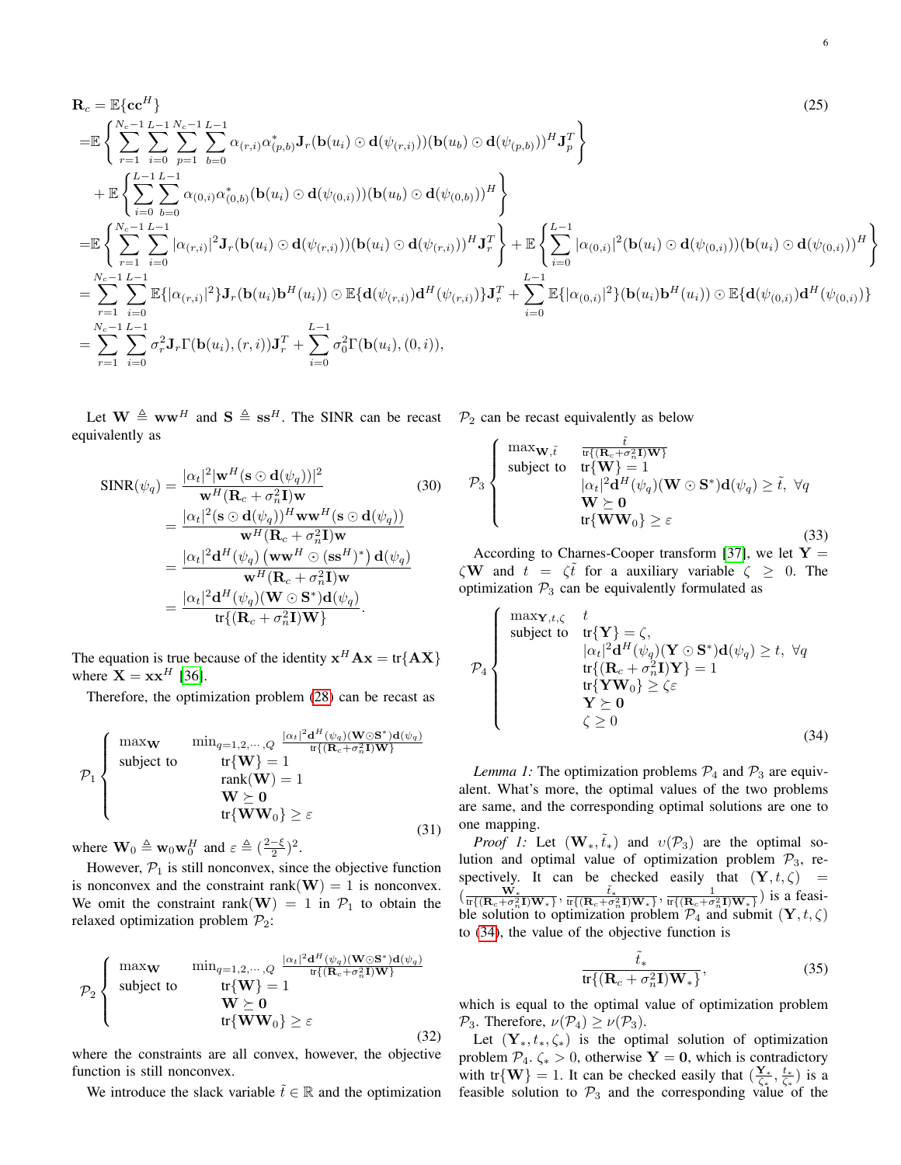$$
\mathbf{R}_{c} = \mathbb{E}\{\mathbf{c}\mathbf{c}^{H}\}\
$$
\n
$$
= \mathbb{E}\left\{\sum_{r=1}^{N_{c}-1}\sum_{i=0}^{L-1}\sum_{p=1}^{N_{c}-1}\sum_{b=0}^{L-1}\alpha_{(r,i)}\alpha_{(p,b)}^{*}\mathbf{J}_{r}(\mathbf{b}(u_{i})\odot\mathbf{d}(\psi_{(r,i)}))(\mathbf{b}(u_{b})\odot\mathbf{d}(\psi_{(p,b)}))^{H}\mathbf{J}_{p}^{T}\right\}
$$
\n
$$
+ \mathbb{E}\left\{\sum_{i=0}^{L-1}\sum_{b=0}^{L-1}\alpha_{(0,i)}\alpha_{(0,b)}^{*}(\mathbf{b}(u_{i})\odot\mathbf{d}(\psi_{(0,i)}))(\mathbf{b}(u_{b})\odot\mathbf{d}(\psi_{(0,b)}))^{H}\right\}
$$
\n
$$
= \mathbb{E}\left\{\sum_{r=1}^{N_{c}-1}\sum_{i=0}^{L-1}|\alpha_{(r,i)}|^{2}\mathbf{J}_{r}(\mathbf{b}(u_{i})\odot\mathbf{d}(\psi_{(r,i)}))(\mathbf{b}(u_{i})\odot\mathbf{d}(\psi_{(r,i)}))^{H}\mathbf{J}_{r}^{T}\right\} + \mathbb{E}\left\{\sum_{i=0}^{L-1}|\alpha_{(0,i)}|^{2}(\mathbf{b}(u_{i})\odot\mathbf{d}(\psi_{(0,i)}))^{H}\right\}
$$
\n
$$
= \sum_{r=1}^{N_{c}-1}\sum_{i=0}^{L-1}\mathbb{E}\{|\alpha_{(r,i)}|^{2}\mathbf{J}_{r}(\mathbf{b}(u_{i})\mathbf{b}^{H}(u_{i}))\odot\mathbb{E}\{\mathbf{d}(\psi_{(r,i)}\mathbf{d}^{H}(\psi_{(r,i)})\}\mathbf{J}_{r}^{T} + \sum_{i=0}^{L-1}\mathbb{E}\{|\alpha_{(0,i)}|^{2}\}(\mathbf{b}(u_{i})\mathbf{b}^{H}(u_{i}))\odot\mathbb{E}\{\mathbf{d}(\psi_{(0,i)}\mathbf{d}^{H}(u_{i})\})\right\}
$$
\n
$$
= \sum_{r=1}^{N_{c}-1}\sum_{i=0
$$

Let  $\mathbf{W} \triangleq \mathbf{w}\mathbf{w}^H$  and  $\mathbf{S} \triangleq \mathbf{s}\mathbf{s}^H$ . The SINR can be recast  $\mathcal{P}_2$  can be recast equivalently as below equivalently as

$$
SINR(\psi_q) = \frac{|\alpha_t|^2 |\mathbf{w}^H (\mathbf{s} \odot \mathbf{d}(\psi_q))|^2}{\mathbf{w}^H (\mathbf{R}_c + \sigma_n^2 \mathbf{I}) \mathbf{w}}
$$
(30)  
= 
$$
\frac{|\alpha_t|^2 (\mathbf{s} \odot \mathbf{d}(\psi_q))^H \mathbf{w} \mathbf{w}^H (\mathbf{s} \odot \mathbf{d}(\psi_q))}{\mathbf{w}^H (\mathbf{R}_c + \sigma_n^2 \mathbf{I}) \mathbf{w}}
$$
  
= 
$$
\frac{|\alpha_t|^2 \mathbf{d}^H (\psi_q) (\mathbf{w} \mathbf{w}^H \odot (\mathbf{s} \mathbf{s}^H)^*) \mathbf{d}(\psi_q)}{\mathbf{w}^H (\mathbf{R}_c + \sigma_n^2 \mathbf{I}) \mathbf{w}}
$$
  
= 
$$
\frac{|\alpha_t|^2 \mathbf{d}^H (\psi_q) (\mathbf{W} \odot \mathbf{S}^*) \mathbf{d}(\psi_q)}{\text{tr} \{(\mathbf{R}_c + \sigma_n^2 \mathbf{I}) \mathbf{W}\} }.
$$

The equation is true because of the identity  $x^H A x = \text{tr}\{AX\}$ where  $\mathbf{X} = \mathbf{x} \mathbf{x}^H$  [\[36\]](#page-9-4).

Therefore, the optimization problem [\(28\)](#page-4-1) can be recast as

$$
\mathcal{P}_1 \left\{\begin{array}{ll}\text{max}_{\mathbf{W}} & \min_{q=1,2,\cdots,Q} \frac{|\alpha_t|^2 \mathbf{d}^H(\psi_q)(\mathbf{W}\odot\mathbf{S}^*)\mathbf{d}(\psi_q)}{\text{tr}\{(\mathbf{R}_c + \sigma_n^2 \mathbf{I})\mathbf{W}\}} \\ \text{subject to} & \text{tr}\{\mathbf{W}\} = 1 \\ & \text{rank}(\mathbf{W}) = 1 \\ & \mathbf{W} \succeq \mathbf{0} \\ & \text{tr}\{\mathbf{W}\mathbf{W}_0\} \geq \varepsilon \end{array}\right. \tag{31}
$$

where  $\mathbf{W}_0 \triangleq \mathbf{w}_0 \mathbf{w}_0^H$  and  $\varepsilon \triangleq (\frac{2-\xi}{2})^2$ .

However,  $P_1$  is still nonconvex, since the objective function is nonconvex and the constraint rank( $W$ ) = 1 is nonconvex. We omit the constraint rank(W) = 1 in  $\mathcal{P}_1$  to obtain the relaxed optimization problem  $\mathcal{P}_2$ :

$$
\mathcal{P}_2 \left\{ \begin{array}{ll}\n\max \mathbf{w} & \min_{q=1,2,\dots,Q} \frac{|\alpha_t|^2 \mathbf{d}^H(\psi_q)(\mathbf{W} \odot \mathbf{S}^*) \mathbf{d}(\psi_q)}{\text{tr}\{(\mathbf{R}_c + \sigma_n^2 \mathbf{I}) \mathbf{W}\}} \\
\text{subject to} & \text{tr}\{\mathbf{W}\} = 1 \\
& \mathbf{W} \succeq \mathbf{0} \\
& \text{tr}\{\mathbf{W} \mathbf{W}_0\} \geq \varepsilon\n\end{array} \right. \tag{32}
$$

where the constraints are all convex, however, the objective function is still nonconvex.

We introduce the slack variable  $\tilde{t} \in \mathbb{R}$  and the optimization

<span id="page-5-0"></span>

$$
\mathcal{P}_3 \left\{\begin{array}{cl}\n\max_{\mathbf{W},\tilde{t}} & \frac{\tilde{t}}{\text{tr}\{(\mathbf{R}_c+\sigma_n^2\mathbf{I})\mathbf{W}\}} \\
\text{subject to} & \text{tr}\{\mathbf{W}\}=1 \\
& |\alpha_t|^2 \mathbf{d}^H(\psi_q)(\mathbf{W}\odot\mathbf{S}^*)\mathbf{d}(\psi_q) \geq \tilde{t}, \ \forall q \\
& \mathbf{W}\succeq \mathbf{0} \\
& \text{tr}\{\mathbf{W}\mathbf{W}_0\} \geq \varepsilon\n\end{array}\right. \tag{33}
$$

According to Charnes-Cooper transform [\[37\]](#page-9-5), we let  $Y =$  $\zeta \mathbf{W}$  and  $t = \zeta \bar{t}$  for a auxiliary variable  $\zeta \geq 0$ . The optimization  $P_3$  can be equivalently formulated as

<span id="page-5-1"></span>
$$
\mathcal{P}_4 \left\{\begin{array}{c}\n\text{max}_{\mathbf{Y},t,\zeta} & t \\
\text{subject to} & \text{tr}\{\mathbf{Y}\} = \zeta, \\
& |\alpha_t|^2 \mathbf{d}^H(\psi_q)(\mathbf{Y} \odot \mathbf{S}^*) \mathbf{d}(\psi_q) \ge t, \ \forall q \\
& \text{tr}\{(\mathbf{R}_c + \sigma_n^2 \mathbf{I}) \mathbf{Y}\} = 1 \\
& \text{tr}\{\mathbf{Y} \mathbf{W}_0\} \ge \zeta \varepsilon \\
& \mathbf{Y} \succeq \mathbf{0} \\
& \zeta \ge 0\n\end{array}\right. \tag{34}
$$

*Lemma 1:* The optimization problems  $\mathcal{P}_4$  and  $\mathcal{P}_3$  are equivalent. What's more, the optimal values of the two problems are same, and the corresponding optimal solutions are one to one mapping.

*Proof 1:* Let  $(\mathbf{W}_*, \tilde{t}_*)$  and  $v(\mathcal{P}_3)$  are the optimal solution and optimal value of optimization problem  $\mathcal{P}_3$ , respectively. It can be checked easily that  $(Y, t, \zeta)$  =  $(\frac{\mathbf{W}_{*}}{\pi\{(\mathbf{R}_{c}+\sigma_{n}^{2}\mathbf{I})\mathbf{W}_{*}\}}, \frac{\tilde{t}_{*}}{\pi\{(\mathbf{R}_{c}+\sigma_{n}^{2}\mathbf{I})\mathbf{W}_{*}\}}, \frac{1}{\pi\{(\mathbf{R}_{c}+\sigma_{n}^{2}\mathbf{I})\mathbf{W}_{*}\}})$  is a feasible solution to optimization problem  $\mathcal{P}_4$  and submit  $(\mathbf{Y}, t, \zeta)$ to [\(34\)](#page-5-1), the value of the objective function is

$$
\frac{\tilde{t}_*}{\text{tr}\{(\mathbf{R}_c + \sigma_n^2 \mathbf{I}) \mathbf{W}_*\}},\tag{35}
$$

which is equal to the optimal value of optimization problem  $\mathcal{P}_3$ . Therefore,  $\nu(\mathcal{P}_4) \geq \nu(\mathcal{P}_3)$ .

Let  $(Y_*, t_*, \zeta_*)$  is the optimal solution of optimization problem  $\mathcal{P}_4$ .  $\zeta_* > 0$ , otherwise **Y** = **0**, which is contradictory with tr{W} = 1. It can be checked easily that  $(\frac{Y_*}{\zeta_*}, \frac{t_*}{\zeta_*})$  is a feasible solution to  $\mathcal{P}_3$  and the corresponding value of the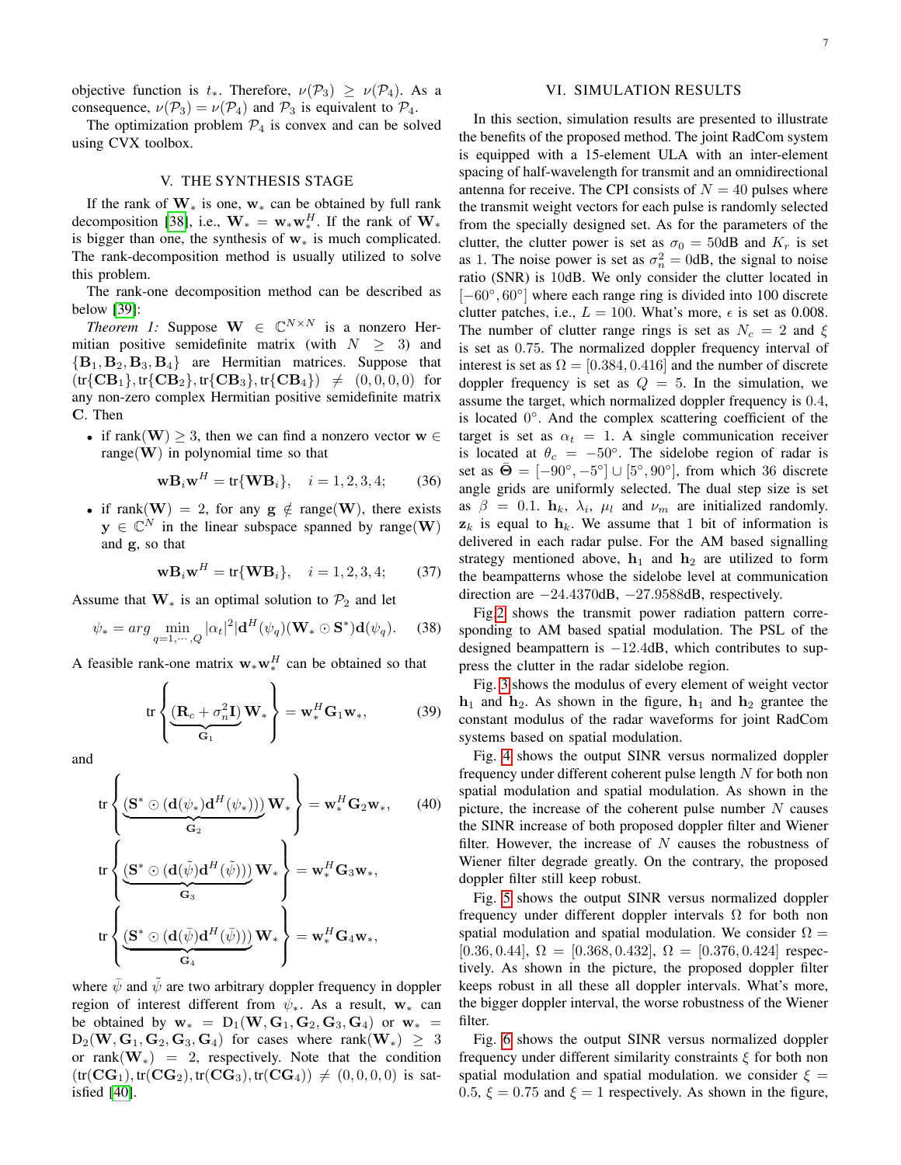objective function is  $t_*$ . Therefore,  $\nu(\mathcal{P}_3) \geq \nu(\mathcal{P}_4)$ . As a consequence,  $\nu(\mathcal{P}_3) = \nu(\mathcal{P}_4)$  and  $\mathcal{P}_3$  is equivalent to  $\mathcal{P}_4$ .

The optimization problem  $P_4$  is convex and can be solved using CVX toolbox.

# V. THE SYNTHESIS STAGE

<span id="page-6-0"></span>If the rank of  $W_*$  is one,  $w_*$  can be obtained by full rank decomposition [\[38\]](#page-9-6), i.e.,  $\mathbf{W}_{*} = \mathbf{w}_{*} \mathbf{w}_{*}^{H}$ . If the rank of  $\mathbf{W}_{*}$ is bigger than one, the synthesis of  $w_*$  is much complicated. The rank-decomposition method is usually utilized to solve this problem.

The rank-one decomposition method can be described as below [\[39\]](#page-9-7):

*Theorem 1:* Suppose  $W \in \mathbb{C}^{N \times N}$  is a nonzero Hermitian positive semidefinite matrix (with  $N \geq 3$ ) and  ${B_1, B_2, B_3, B_4}$  are Hermitian matrices. Suppose that  $(tr{CB<sub>1</sub>}, tr{CB<sub>2</sub>}, tr{CB<sub>3</sub>}, tr{CB<sub>4</sub>}) \neq (0, 0, 0, 0)$  for any non-zero complex Hermitian positive semidefinite matrix C. Then

• if rank(W)  $\geq$  3, then we can find a nonzero vector  $w \in$ range( $W$ ) in polynomial time so that

$$
\mathbf{w} \mathbf{B}_i \mathbf{w}^H = \text{tr}\{\mathbf{W} \mathbf{B}_i\}, \quad i = 1, 2, 3, 4; \tag{36}
$$

• if rank(W) = 2, for any  $g \notin \text{range}(W)$ , there exists  $y \in \mathbb{C}^N$  in the linear subspace spanned by range(W) and g, so that

$$
\mathbf{w} \mathbf{B}_i \mathbf{w}^H = \text{tr}\{\mathbf{W} \mathbf{B}_i\}, \quad i = 1, 2, 3, 4; \tag{37}
$$

Assume that  $W_*$  is an optimal solution to  $\mathcal{P}_2$  and let

$$
\psi_* = arg \min_{q=1,\cdots,Q} |\alpha_t|^2 |\mathbf{d}^H(\psi_q)(\mathbf{W}_* \odot \mathbf{S}^*) \mathbf{d}(\psi_q). \tag{38}
$$

A feasible rank-one matrix  $w_* w_*^H$  can be obtained so that

$$
\operatorname{tr}\left\{\underbrace{(\mathbf{R}_c + \sigma_n^2 \mathbf{I})}_{\mathbf{G}_1} \mathbf{W}_*\right\} = \mathbf{w}_*^H \mathbf{G}_1 \mathbf{w}_*,\tag{39}
$$

and

$$
\operatorname{tr}\left\{\underbrace{\left(\mathbf{S}^*\odot(\mathbf{d}(\psi_*)\mathbf{d}^H(\psi_*))\right)}_{\mathbf{G}_2}\mathbf{W}_*\right\} = \mathbf{w}_*^H\mathbf{G}_2\mathbf{w}_*,\qquad(40)
$$
\n
$$
\operatorname{tr}\left\{\underbrace{\left(\mathbf{S}^*\odot(\mathbf{d}(\tilde{\psi})\mathbf{d}^H(\tilde{\psi}))\right)}_{\mathbf{G}_3}\mathbf{W}_*\right\} = \mathbf{w}_*^H\mathbf{G}_3\mathbf{w}_*,
$$
\n
$$
\operatorname{tr}\left\{\underbrace{\left(\mathbf{S}^*\odot(\mathbf{d}(\tilde{\psi})\mathbf{d}^H(\tilde{\psi}))\right)}_{\mathbf{G}_4}\mathbf{W}_*\right\} = \mathbf{w}_*^H\mathbf{G}_4\mathbf{w}_*,
$$

where  $\bar{\psi}$  and  $\tilde{\psi}$  are two arbitrary doppler frequency in doppler region of interest different from  $\psi_*$ . As a result, w<sub>\*</sub> can be obtained by  $\mathbf{w}_* = D_1(\mathbf{W}, \mathbf{G}_1, \mathbf{G}_2, \mathbf{G}_3, \mathbf{G}_4)$  or  $\mathbf{w}_* =$  $D_2(W, G_1, G_2, G_3, G_4)$  for cases where rank $(W_*) \geq 3$ or rank $(\mathbf{W}_*) = 2$ , respectively. Note that the condition  $(tr(CG_1), tr(CG_2), tr(CG_3), tr(CG_4)) \neq (0, 0, 0, 0)$  is satisfied [\[40\]](#page-9-8).

# VI. SIMULATION RESULTS

<span id="page-6-1"></span>In this section, simulation results are presented to illustrate the benefits of the proposed method. The joint RadCom system is equipped with a 15-element ULA with an inter-element spacing of half-wavelength for transmit and an omnidirectional antenna for receive. The CPI consists of  $N = 40$  pulses where the transmit weight vectors for each pulse is randomly selected from the specially designed set. As for the parameters of the clutter, the clutter power is set as  $\sigma_0 = 50$ dB and  $K_r$  is set as 1. The noise power is set as  $\sigma_n^2 = 0$ dB, the signal to noise ratio (SNR) is 10dB. We only consider the clutter located in [-60°, 60°] where each range ring is divided into 100 discrete clutter patches, i.e.,  $L = 100$ . What's more,  $\epsilon$  is set as 0.008. The number of clutter range rings is set as  $N_c = 2$  and  $\xi$ is set as 0.75. The normalized doppler frequency interval of interest is set as  $\Omega = [0.384, 0.416]$  and the number of discrete doppler frequency is set as  $Q = 5$ . In the simulation, we assume the target, which normalized doppler frequency is 0.4, is located 0°. And the complex scattering coefficient of the target is set as  $\alpha_t = 1$ . A single communication receiver is located at  $\theta_c = -50^\circ$ . The sidelobe region of radar is set as  $\bar{\Theta} = [-90^\circ, -5^\circ] \cup [5^\circ, 90^\circ]$ , from which 36 discrete angle grids are uniformly selected. The dual step size is set as  $\beta = 0.1$ .  $\mathbf{h}_k$ ,  $\lambda_i$ ,  $\mu_l$  and  $\nu_m$  are initialized randomly.  $z_k$  is equal to  $h_k$ . We assume that 1 bit of information is delivered in each radar pulse. For the AM based signalling strategy mentioned above,  $h_1$  and  $h_2$  are utilized to form the beampatterns whose the sidelobe level at communication direction are  $-24.4370$ dB,  $-27.9588$ dB, respectively.

Fig[.2](#page-7-14) shows the transmit power radiation pattern corresponding to AM based spatial modulation. The PSL of the designed beampattern is −12.4dB, which contributes to suppress the clutter in the radar sidelobe region.

Fig. [3](#page-7-15) shows the modulus of every element of weight vector  $h_1$  and  $h_2$ . As shown in the figure,  $h_1$  and  $h_2$  grantee the constant modulus of the radar waveforms for joint RadCom systems based on spatial modulation.

Fig. [4](#page-8-11) shows the output SINR versus normalized doppler frequency under different coherent pulse length  $N$  for both non spatial modulation and spatial modulation. As shown in the picture, the increase of the coherent pulse number  $N$  causes the SINR increase of both proposed doppler filter and Wiener filter. However, the increase of  $N$  causes the robustness of Wiener filter degrade greatly. On the contrary, the proposed doppler filter still keep robust.

Fig. [5](#page-8-12) shows the output SINR versus normalized doppler frequency under different doppler intervals  $\Omega$  for both non spatial modulation and spatial modulation. We consider  $\Omega =$  $[0.36, 0.44], \Omega = [0.368, 0.432], \Omega = [0.376, 0.424]$  respectively. As shown in the picture, the proposed doppler filter keeps robust in all these all doppler intervals. What's more, the bigger doppler interval, the worse robustness of the Wiener filter.

Fig. [6](#page-8-13) shows the output SINR versus normalized doppler frequency under different similarity constraints  $\xi$  for both non spatial modulation and spatial modulation. we consider  $\xi =$ 0.5,  $\xi = 0.75$  and  $\xi = 1$  respectively. As shown in the figure,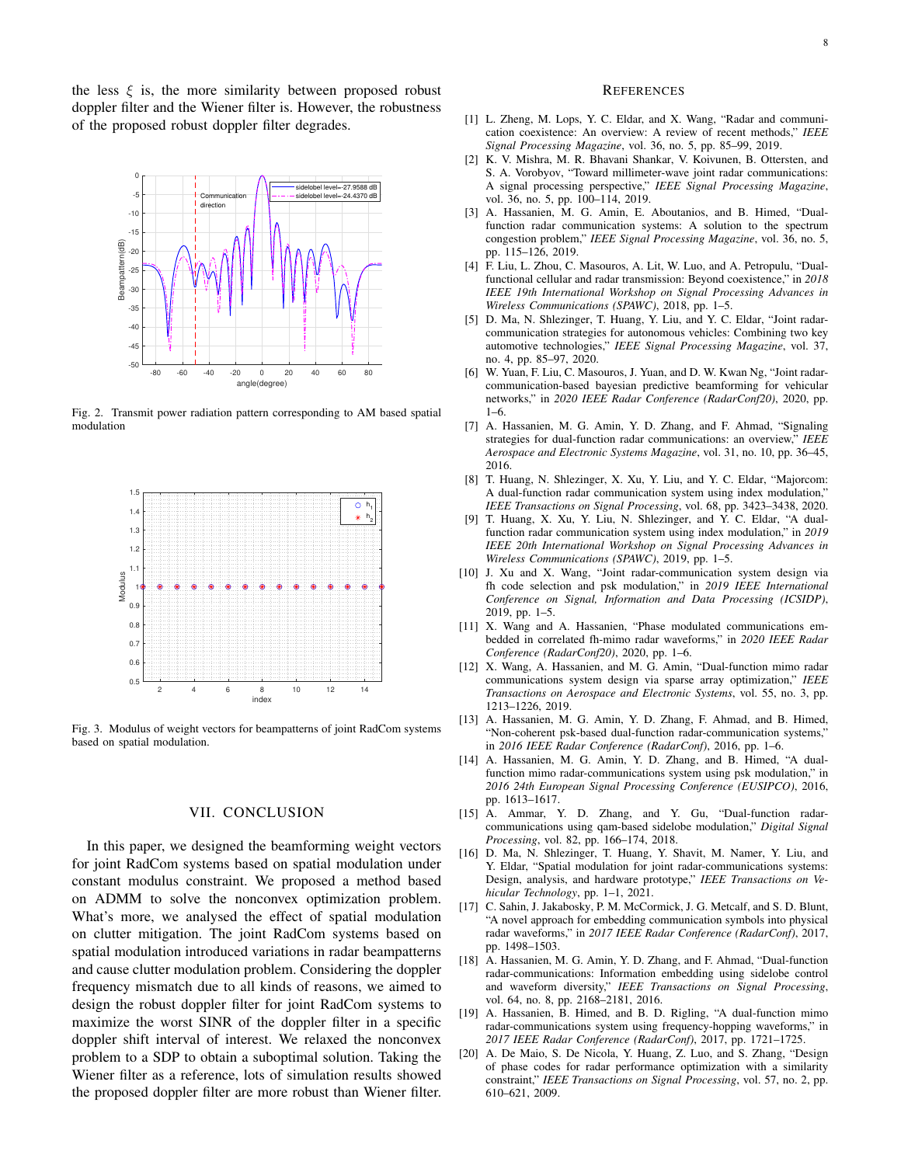the less  $\xi$  is, the more similarity between proposed robust doppler filter and the Wiener filter is. However, the robustness of the proposed robust doppler filter degrades.



<span id="page-7-14"></span>Fig. 2. Transmit power radiation pattern corresponding to AM based spatial modulation



<span id="page-7-15"></span>Fig. 3. Modulus of weight vectors for beampatterns of joint RadCom systems based on spatial modulation.

## VII. CONCLUSION

<span id="page-7-12"></span>In this paper, we designed the beamforming weight vectors for joint RadCom systems based on spatial modulation under constant modulus constraint. We proposed a method based on ADMM to solve the nonconvex optimization problem. What's more, we analysed the effect of spatial modulation on clutter mitigation. The joint RadCom systems based on spatial modulation introduced variations in radar beampatterns and cause clutter modulation problem. Considering the doppler frequency mismatch due to all kinds of reasons, we aimed to design the robust doppler filter for joint RadCom systems to maximize the worst SINR of the doppler filter in a specific doppler shift interval of interest. We relaxed the nonconvex problem to a SDP to obtain a suboptimal solution. Taking the Wiener filter as a reference, lots of simulation results showed the proposed doppler filter are more robust than Wiener filter.

#### **REFERENCES**

- <span id="page-7-0"></span>[1] L. Zheng, M. Lops, Y. C. Eldar, and X. Wang, "Radar and communication coexistence: An overview: A review of recent methods," *IEEE Signal Processing Magazine*, vol. 36, no. 5, pp. 85–99, 2019.
- [2] K. V. Mishra, M. R. Bhavani Shankar, V. Koivunen, B. Ottersten, and S. A. Vorobyov, "Toward millimeter-wave joint radar communications: A signal processing perspective," *IEEE Signal Processing Magazine*, vol. 36, no. 5, pp. 100–114, 2019.
- [3] A. Hassanien, M. G. Amin, E. Aboutanios, and B. Himed, "Dualfunction radar communication systems: A solution to the spectrum congestion problem," *IEEE Signal Processing Magazine*, vol. 36, no. 5, pp. 115–126, 2019.
- <span id="page-7-1"></span>[4] F. Liu, L. Zhou, C. Masouros, A. Lit, W. Luo, and A. Petropulu, "Dualfunctional cellular and radar transmission: Beyond coexistence," in *2018 IEEE 19th International Workshop on Signal Processing Advances in Wireless Communications (SPAWC)*, 2018, pp. 1–5.
- <span id="page-7-2"></span>[5] D. Ma, N. Shlezinger, T. Huang, Y. Liu, and Y. C. Eldar, "Joint radarcommunication strategies for autonomous vehicles: Combining two key automotive technologies," *IEEE Signal Processing Magazine*, vol. 37, no. 4, pp. 85–97, 2020.
- <span id="page-7-3"></span>[6] W. Yuan, F. Liu, C. Masouros, J. Yuan, and D. W. Kwan Ng, "Joint radarcommunication-based bayesian predictive beamforming for vehicular networks," in *2020 IEEE Radar Conference (RadarConf20)*, 2020, pp. 1–6.
- <span id="page-7-4"></span>[7] A. Hassanien, M. G. Amin, Y. D. Zhang, and F. Ahmad, "Signaling strategies for dual-function radar communications: an overview," *IEEE Aerospace and Electronic Systems Magazine*, vol. 31, no. 10, pp. 36–45, 2016.
- <span id="page-7-5"></span>[8] T. Huang, N. Shlezinger, X. Xu, Y. Liu, and Y. C. Eldar, "Majorcom: A dual-function radar communication system using index modulation," *IEEE Transactions on Signal Processing*, vol. 68, pp. 3423–3438, 2020.
- [9] T. Huang, X. Xu, Y. Liu, N. Shlezinger, and Y. C. Eldar, "A dualfunction radar communication system using index modulation," in *2019 IEEE 20th International Workshop on Signal Processing Advances in Wireless Communications (SPAWC)*, 2019, pp. 1–5.
- [10] J. Xu and X. Wang, "Joint radar-communication system design via fh code selection and psk modulation," in *2019 IEEE International Conference on Signal, Information and Data Processing (ICSIDP)*, 2019, pp. 1–5.
- [11] X. Wang and A. Hassanien, "Phase modulated communications embedded in correlated fh-mimo radar waveforms," in *2020 IEEE Radar Conference (RadarConf20)*, 2020, pp. 1–6.
- <span id="page-7-6"></span>[12] X. Wang, A. Hassanien, and M. G. Amin, "Dual-function mimo radar communications system design via sparse array optimization," *IEEE Transactions on Aerospace and Electronic Systems*, vol. 55, no. 3, pp. 1213–1226, 2019.
- <span id="page-7-7"></span>[13] A. Hassanien, M. G. Amin, Y. D. Zhang, F. Ahmad, and B. Himed, "Non-coherent psk-based dual-function radar-communication systems," in *2016 IEEE Radar Conference (RadarConf)*, 2016, pp. 1–6.
- [14] A. Hassanien, M. G. Amin, Y. D. Zhang, and B. Himed, "A dualfunction mimo radar-communications system using psk modulation," in *2016 24th European Signal Processing Conference (EUSIPCO)*, 2016, pp. 1613–1617.
- [15] A. Ammar, Y. D. Zhang, and Y. Gu, "Dual-function radarcommunications using qam-based sidelobe modulation," *Digital Signal Processing*, vol. 82, pp. 166–174, 2018.
- <span id="page-7-8"></span>[16] D. Ma, N. Shlezinger, T. Huang, Y. Shavit, M. Namer, Y. Liu, and Y. Eldar, "Spatial modulation for joint radar-communications systems: Design, analysis, and hardware prototype," *IEEE Transactions on Vehicular Technology*, pp. 1–1, 2021.
- <span id="page-7-9"></span>[17] C. Sahin, J. Jakabosky, P. M. McCormick, J. G. Metcalf, and S. D. Blunt, "A novel approach for embedding communication symbols into physical radar waveforms," in *2017 IEEE Radar Conference (RadarConf)*, 2017, pp. 1498–1503.
- <span id="page-7-13"></span>[18] A. Hassanien, M. G. Amin, Y. D. Zhang, and F. Ahmad, "Dual-function radar-communications: Information embedding using sidelobe control and waveform diversity," *IEEE Transactions on Signal Processing*, vol. 64, no. 8, pp. 2168–2181, 2016.
- <span id="page-7-10"></span>[19] A. Hassanien, B. Himed, and B. D. Rigling, "A dual-function mimo radar-communications system using frequency-hopping waveforms," in *2017 IEEE Radar Conference (RadarConf)*, 2017, pp. 1721–1725.
- <span id="page-7-11"></span>[20] A. De Maio, S. De Nicola, Y. Huang, Z. Luo, and S. Zhang, "Design of phase codes for radar performance optimization with a similarity constraint," *IEEE Transactions on Signal Processing*, vol. 57, no. 2, pp. 610–621, 2009.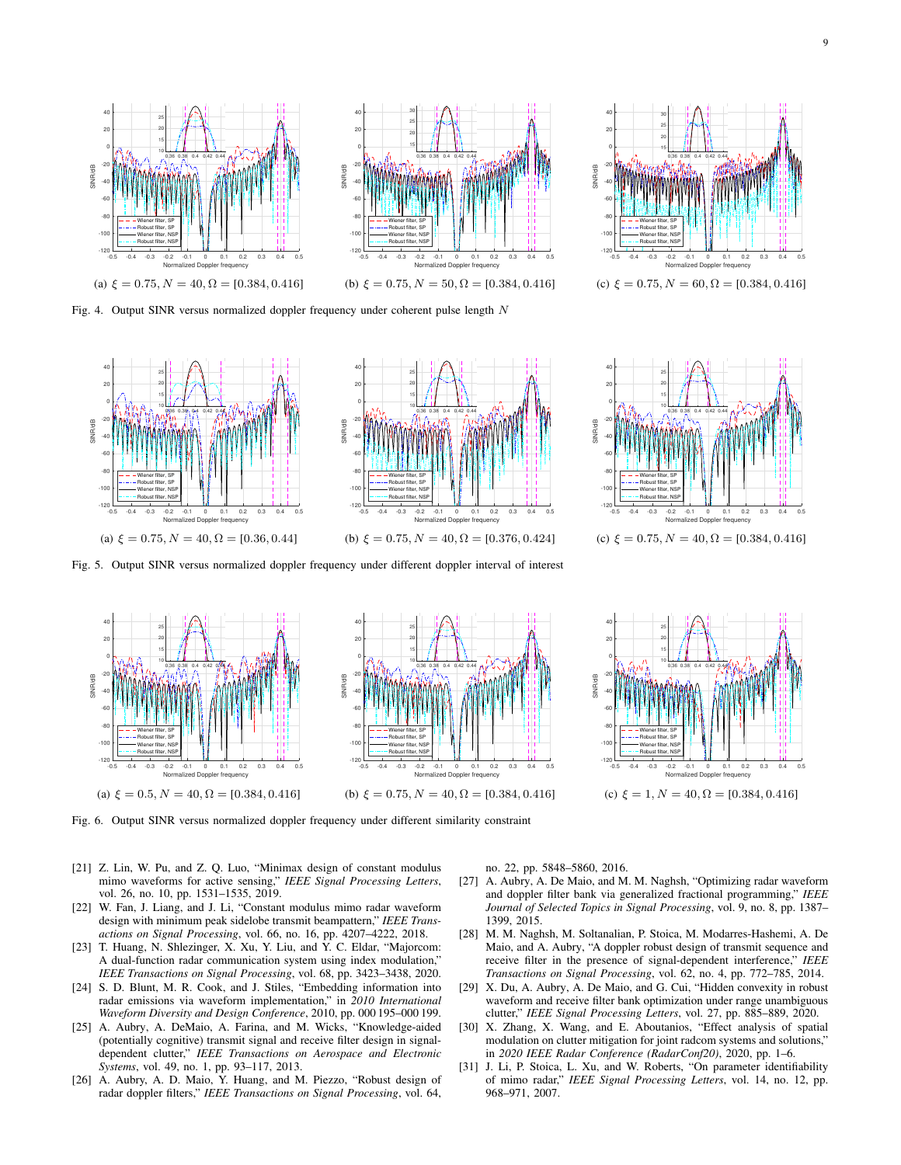

<span id="page-8-11"></span>Fig. 4. Output SINR versus normalized doppler frequency under coherent pulse length  $N$ 



<span id="page-8-12"></span>Fig. 5. Output SINR versus normalized doppler frequency under different doppler interval of interest





<span id="page-8-13"></span>Fig. 6. Output SINR versus normalized doppler frequency under different similarity constraint

- <span id="page-8-0"></span>[21] Z. Lin, W. Pu, and Z. Q. Luo, "Minimax design of constant modulus mimo waveforms for active sensing," *IEEE Signal Processing Letters*, vol. 26, no. 10, pp. 1531–1535, 2019.
- <span id="page-8-1"></span>[22] W. Fan, J. Liang, and J. Li, "Constant modulus mimo radar waveform design with minimum peak sidelobe transmit beampattern," *IEEE Transactions on Signal Processing*, vol. 66, no. 16, pp. 4207–4222, 2018.
- <span id="page-8-2"></span>[23] T. Huang, N. Shlezinger, X. Xu, Y. Liu, and Y. C. Eldar, "Majorcom: A dual-function radar communication system using index modulation," *IEEE Transactions on Signal Processing*, vol. 68, pp. 3423–3438, 2020.
- <span id="page-8-3"></span>[24] S. D. Blunt, M. R. Cook, and J. Stiles, "Embedding information into radar emissions via waveform implementation," in *2010 International Waveform Diversity and Design Conference*, 2010, pp. 000 195–000 199.
- <span id="page-8-4"></span>[25] A. Aubry, A. DeMaio, A. Farina, and M. Wicks, "Knowledge-aided (potentially cognitive) transmit signal and receive filter design in signaldependent clutter," *IEEE Transactions on Aerospace and Electronic Systems*, vol. 49, no. 1, pp. 93–117, 2013.
- <span id="page-8-6"></span>[26] A. Aubry, A. D. Maio, Y. Huang, and M. Piezzo, "Robust design of radar doppler filters," *IEEE Transactions on Signal Processing*, vol. 64,

no. 22, pp. 5848–5860, 2016.

- <span id="page-8-8"></span>[27] A. Aubry, A. De Maio, and M. M. Naghsh, "Optimizing radar waveform and doppler filter bank via generalized fractional programming," *IEEE Journal of Selected Topics in Signal Processing*, vol. 9, no. 8, pp. 1387– 1399, 2015.
- <span id="page-8-7"></span>[28] M. M. Naghsh, M. Soltanalian, P. Stoica, M. Modarres-Hashemi, A. De Maio, and A. Aubry, "A doppler robust design of transmit sequence and receive filter in the presence of signal-dependent interference," *IEEE Transactions on Signal Processing*, vol. 62, no. 4, pp. 772–785, 2014.
- <span id="page-8-5"></span>[29] X. Du, A. Aubry, A. De Maio, and G. Cui, "Hidden convexity in robust waveform and receive filter bank optimization under range unambiguous clutter," *IEEE Signal Processing Letters*, vol. 27, pp. 885–889, 2020.
- <span id="page-8-9"></span>[30] X. Zhang, X. Wang, and E. Aboutanios, "Effect analysis of spatial modulation on clutter mitigation for joint radcom systems and solutions," in *2020 IEEE Radar Conference (RadarConf20)*, 2020, pp. 1–6.
- <span id="page-8-10"></span>[31] J. Li, P. Stoica, L. Xu, and W. Roberts, "On parameter identifiability of mimo radar," *IEEE Signal Processing Letters*, vol. 14, no. 12, pp. 968–971, 2007.







(c)  $\xi = 0.75, N = 40, \Omega = [0.384, 0.416]$